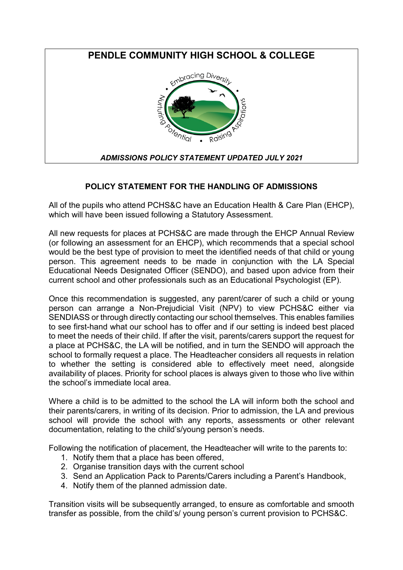

## **POLICY STATEMENT FOR THE HANDLING OF ADMISSIONS**

All of the pupils who attend PCHS&C have an Education Health & Care Plan (EHCP), which will have been issued following a Statutory Assessment.

All new requests for places at PCHS&C are made through the EHCP Annual Review (or following an assessment for an EHCP), which recommends that a special school would be the best type of provision to meet the identified needs of that child or young person. This agreement needs to be made in conjunction with the LA Special Educational Needs Designated Officer (SENDO), and based upon advice from their current school and other professionals such as an Educational Psychologist (EP).

Once this recommendation is suggested, any parent/carer of such a child or young person can arrange a Non-Prejudicial Visit (NPV) to view PCHS&C either via SENDIASS or through directly contacting our school themselves. This enables families to see first-hand what our school has to offer and if our setting is indeed best placed to meet the needs of their child. If after the visit, parents/carers support the request for a place at PCHS&C, the LA will be notified, and in turn the SENDO will approach the school to formally request a place. The Headteacher considers all requests in relation to whether the setting is considered able to effectively meet need, alongside availability of places. Priority for school places is always given to those who live within the school's immediate local area.

Where a child is to be admitted to the school the LA will inform both the school and their parents/carers, in writing of its decision. Prior to admission, the LA and previous school will provide the school with any reports, assessments or other relevant documentation, relating to the child's/young person's needs.

Following the notification of placement, the Headteacher will write to the parents to:

- 1. Notify them that a place has been offered,
- 2. Organise transition days with the current school
- 3. Send an Application Pack to Parents/Carers including a Parent's Handbook,
- 4. Notify them of the planned admission date.

Transition visits will be subsequently arranged, to ensure as comfortable and smooth transfer as possible, from the child's/ young person's current provision to PCHS&C.